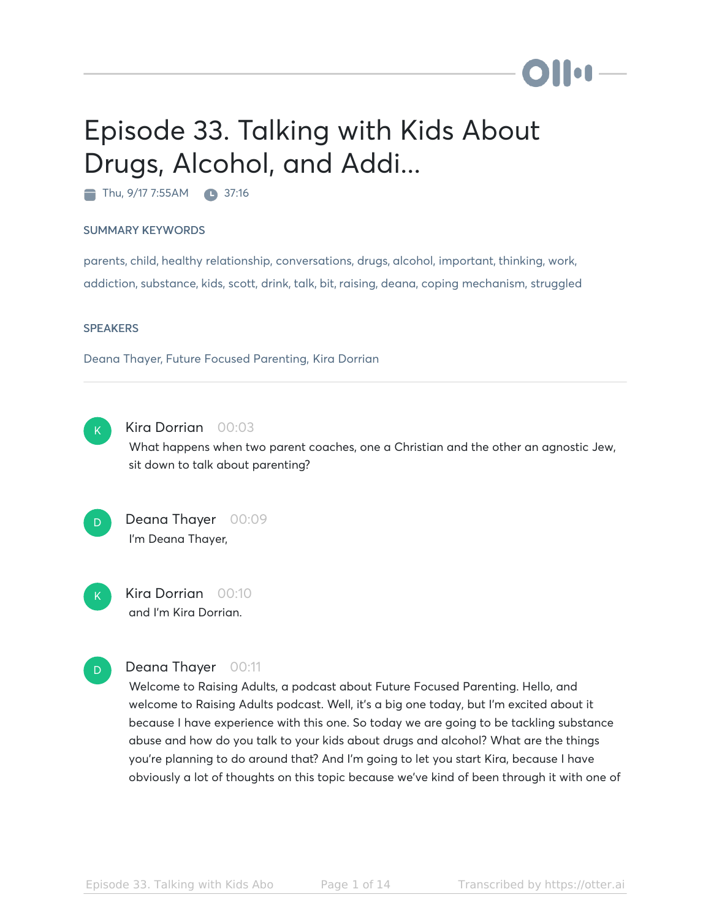# Episode 33. Talking with Kids About Drugs, Alcohol, and Addi...

Thu, 9/17 7:55AM 37:16

#### SUMMARY KEYWORDS

parents, child, healthy relationship, conversations, drugs, alcohol, important, thinking, work, addiction, substance, kids, scott, drink, talk, bit, raising, deana, coping mechanism, struggled

#### **SPEAKERS**

Deana Thayer, Future Focused Parenting, Kira Dorrian



# Kira Dorrian 00:03

What happens when two parent coaches, one a Christian and the other an agnostic Jew, sit down to talk about parenting?



 $\overline{\mathbf{K}}$  .

D

# Deana Thayer 00:09 I'm Deana Thayer,

Kira Dorrian 00:10 and I'm Kira Dorrian.

# Deana Thayer 00:11

Welcome to Raising Adults, a podcast about Future Focused Parenting. Hello, and welcome to Raising Adults podcast. Well, it's a big one today, but I'm excited about it because I have experience with this one. So today we are going to be tackling substance abuse and how do you talk to your kids about drugs and alcohol? What are the things you're planning to do around that? And I'm going to let you start Kira, because I have obviously a lot of thoughts on this topic because we've kind of been through it with one of

**Mon**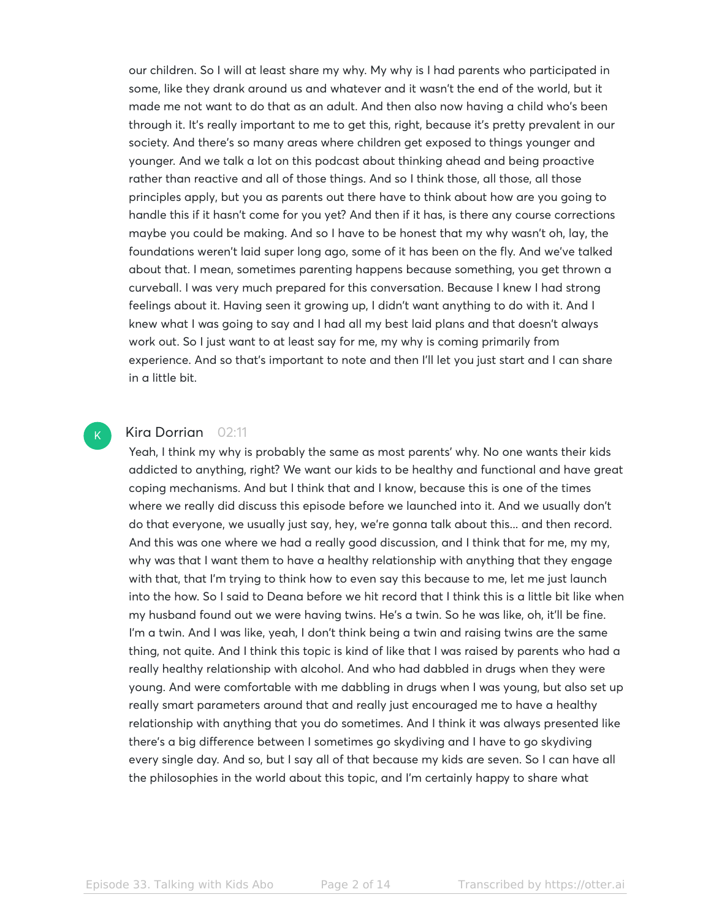our children. So I will at least share my why. My why is I had parents who participated in some, like they drank around us and whatever and it wasn't the end of the world, but it made me not want to do that as an adult. And then also now having a child who's been through it. It's really important to me to get this, right, because it's pretty prevalent in our society. And there's so many areas where children get exposed to things younger and younger. And we talk a lot on this podcast about thinking ahead and being proactive rather than reactive and all of those things. And so I think those, all those, all those principles apply, but you as parents out there have to think about how are you going to handle this if it hasn't come for you yet? And then if it has, is there any course corrections maybe you could be making. And so I have to be honest that my why wasn't oh, lay, the foundations weren't laid super long ago, some of it has been on the fly. And we've talked about that. I mean, sometimes parenting happens because something, you get thrown a curveball. I was very much prepared for this conversation. Because I knew I had strong feelings about it. Having seen it growing up, I didn't want anything to do with it. And I knew what I was going to say and I had all my best laid plans and that doesn't always work out. So I just want to at least say for me, my why is coming primarily from experience. And so that's important to note and then I'll let you just start and I can share in a little bit.

#### Kira Dorrian 02:11

 $\mathsf{K}_{\scriptscriptstyle{+}}$ 

Yeah, I think my why is probably the same as most parents' why. No one wants their kids addicted to anything, right? We want our kids to be healthy and functional and have great coping mechanisms. And but I think that and I know, because this is one of the times where we really did discuss this episode before we launched into it. And we usually don't do that everyone, we usually just say, hey, we're gonna talk about this... and then record. And this was one where we had a really good discussion, and I think that for me, my my, why was that I want them to have a healthy relationship with anything that they engage with that, that I'm trying to think how to even say this because to me, let me just launch into the how. So I said to Deana before we hit record that I think this is a little bit like when my husband found out we were having twins. He's a twin. So he was like, oh, it'll be fine. I'm a twin. And I was like, yeah, I don't think being a twin and raising twins are the same thing, not quite. And I think this topic is kind of like that I was raised by parents who had a really healthy relationship with alcohol. And who had dabbled in drugs when they were young. And were comfortable with me dabbling in drugs when I was young, but also set up really smart parameters around that and really just encouraged me to have a healthy relationship with anything that you do sometimes. And I think it was always presented like there's a big difference between I sometimes go skydiving and I have to go skydiving every single day. And so, but I say all of that because my kids are seven. So I can have all the philosophies in the world about this topic, and I'm certainly happy to share what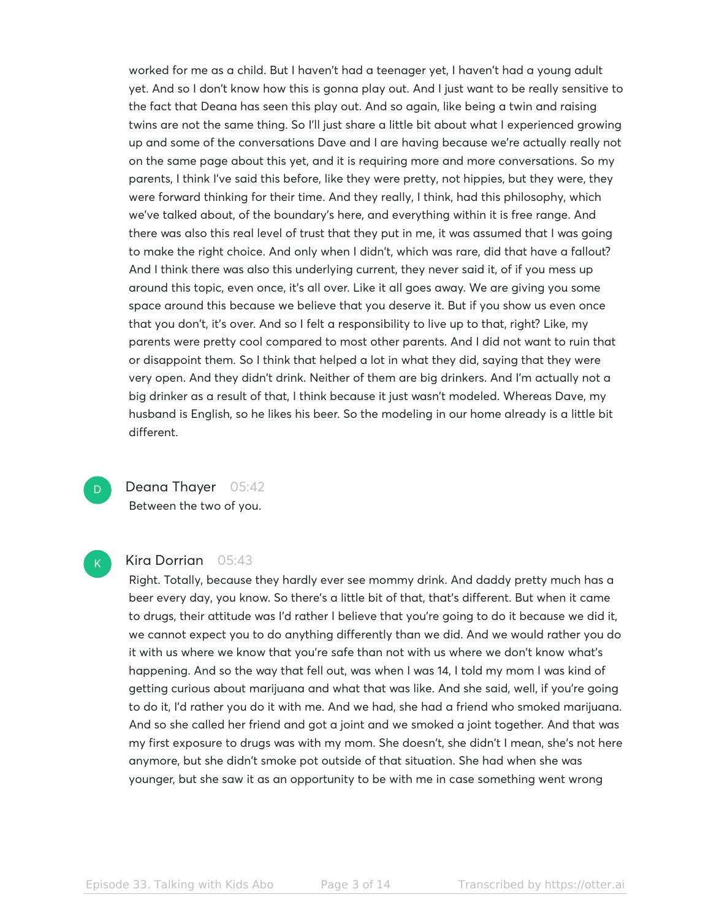worked for me as a child. But I haven't had a teenager yet, I haven't had a young adult yet. And so I don't know how this is gonna play out. And I just want to be really sensitive to the fact that Deana has seen this play out. And so again, like being a twin and raising twins are not the same thing. So I'll just share a little bit about what I experienced growing up and some of the conversations Dave and I are having because we're actually really not on the same page about this yet, and it is requiring more and more conversations. So my parents, I think I've said this before, like they were pretty, not hippies, but they were, they were forward thinking for their time. And they really, I think, had this philosophy, which we've talked about, of the boundary's here, and everything within it is free range. And there was also this real level of trust that they put in me, it was assumed that I was going to make the right choice. And only when I didn't, which was rare, did that have a fallout? And I think there was also this underlying current, they never said it, of if you mess up around this topic, even once, it's all over. Like it all goes away. We are giving you some space around this because we believe that you deserve it. But if you show us even once that you don't, it's over. And so I felt a responsibility to live up to that, right? Like, my parents were pretty cool compared to most other parents. And I did not want to ruin that or disappoint them. So I think that helped a lot in what they did, saying that they were very open. And they didn't drink. Neither of them are big drinkers. And I'm actually not a big drinker as a result of that, I think because it just wasn't modeled. Whereas Dave, my husband is English, so he likes his beer. So the modeling in our home already is a little bit different.

Deana Thayer 05:42 Between the two of you.  $\overline{D}$ 

#### Kira Dorrian 05:43

 $\mathsf{K}_{\scriptscriptstyle{+}}$ 

Right. Totally, because they hardly ever see mommy drink. And daddy pretty much has a beer every day, you know. So there's a little bit of that, that's different. But when it came to drugs, their attitude was I'd rather I believe that you're going to do it because we did it, we cannot expect you to do anything differently than we did. And we would rather you do it with us where we know that you're safe than not with us where we don't know what's happening. And so the way that fell out, was when I was 14, I told my mom I was kind of getting curious about marijuana and what that was like. And she said, well, if you're going to do it, I'd rather you do it with me. And we had, she had a friend who smoked marijuana. And so she called her friend and got a joint and we smoked a joint together. And that was my first exposure to drugs was with my mom. She doesn't, she didn't I mean, she's not here anymore, but she didn't smoke pot outside of that situation. She had when she was younger, but she saw it as an opportunity to be with me in case something went wrong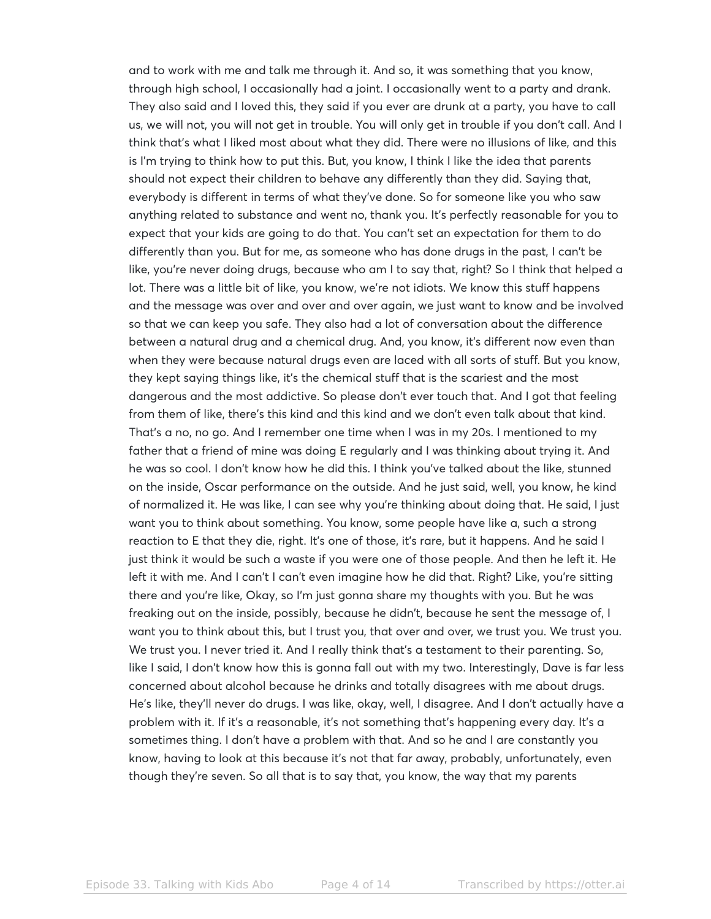and to work with me and talk me through it. And so, it was something that you know, through high school, I occasionally had a joint. I occasionally went to a party and drank. They also said and I loved this, they said if you ever are drunk at a party, you have to call us, we will not, you will not get in trouble. You will only get in trouble if you don't call. And I think that's what I liked most about what they did. There were no illusions of like, and this is I'm trying to think how to put this. But, you know, I think I like the idea that parents should not expect their children to behave any differently than they did. Saying that, everybody is different in terms of what they've done. So for someone like you who saw anything related to substance and went no, thank you. It's perfectly reasonable for you to expect that your kids are going to do that. You can't set an expectation for them to do differently than you. But for me, as someone who has done drugs in the past, I can't be like, you're never doing drugs, because who am I to say that, right? So I think that helped a lot. There was a little bit of like, you know, we're not idiots. We know this stuff happens and the message was over and over and over again, we just want to know and be involved so that we can keep you safe. They also had a lot of conversation about the difference between a natural drug and a chemical drug. And, you know, it's different now even than when they were because natural drugs even are laced with all sorts of stuff. But you know, they kept saying things like, it's the chemical stuff that is the scariest and the most dangerous and the most addictive. So please don't ever touch that. And I got that feeling from them of like, there's this kind and this kind and we don't even talk about that kind. That's a no, no go. And I remember one time when I was in my 20s. I mentioned to my father that a friend of mine was doing E regularly and I was thinking about trying it. And he was so cool. I don't know how he did this. I think you've talked about the like, stunned on the inside, Oscar performance on the outside. And he just said, well, you know, he kind of normalized it. He was like, I can see why you're thinking about doing that. He said, I just want you to think about something. You know, some people have like a, such a strong reaction to E that they die, right. It's one of those, it's rare, but it happens. And he said I just think it would be such a waste if you were one of those people. And then he left it. He left it with me. And I can't I can't even imagine how he did that. Right? Like, you're sitting there and you're like, Okay, so I'm just gonna share my thoughts with you. But he was freaking out on the inside, possibly, because he didn't, because he sent the message of, I want you to think about this, but I trust you, that over and over, we trust you. We trust you. We trust you. I never tried it. And I really think that's a testament to their parenting. So, like I said, I don't know how this is gonna fall out with my two. Interestingly, Dave is far less concerned about alcohol because he drinks and totally disagrees with me about drugs. He's like, they'll never do drugs. I was like, okay, well, I disagree. And I don't actually have a problem with it. If it's a reasonable, it's not something that's happening every day. It's a sometimes thing. I don't have a problem with that. And so he and I are constantly you know, having to look at this because it's not that far away, probably, unfortunately, even though they're seven. So all that is to say that, you know, the way that my parents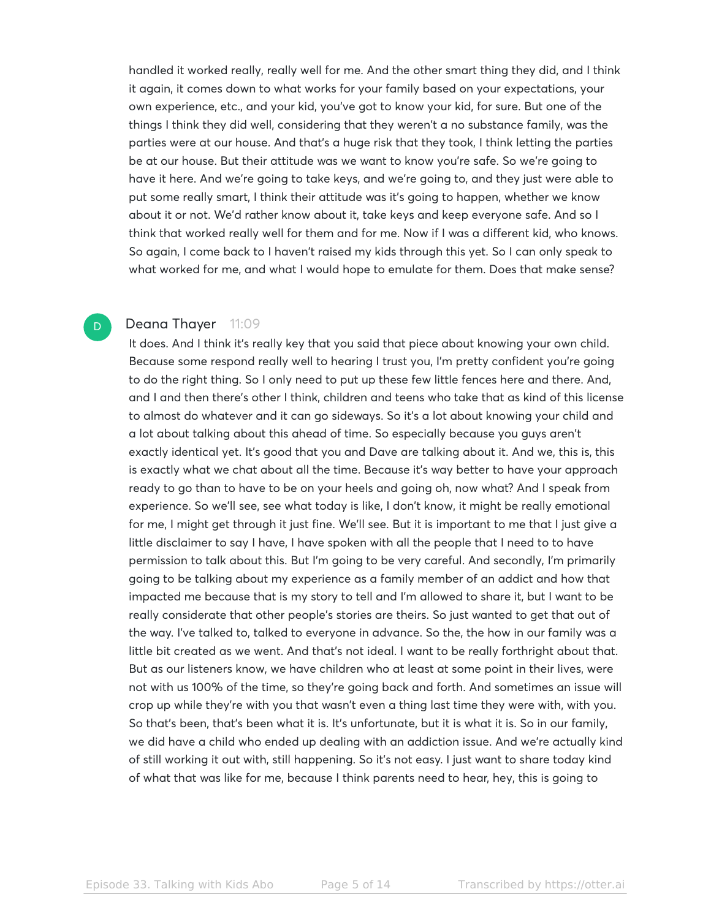handled it worked really, really well for me. And the other smart thing they did, and I think it again, it comes down to what works for your family based on your expectations, your own experience, etc., and your kid, you've got to know your kid, for sure. But one of the things I think they did well, considering that they weren't a no substance family, was the parties were at our house. And that's a huge risk that they took, I think letting the parties be at our house. But their attitude was we want to know you're safe. So we're going to have it here. And we're going to take keys, and we're going to, and they just were able to put some really smart, I think their attitude was it's going to happen, whether we know about it or not. We'd rather know about it, take keys and keep everyone safe. And so I think that worked really well for them and for me. Now if I was a different kid, who knows. So again, I come back to I haven't raised my kids through this yet. So I can only speak to what worked for me, and what I would hope to emulate for them. Does that make sense?

#### Deana Thayer 11:09

D

It does. And I think it's really key that you said that piece about knowing your own child. Because some respond really well to hearing I trust you, I'm pretty confident you're going to do the right thing. So I only need to put up these few little fences here and there. And, and I and then there's other I think, children and teens who take that as kind of this license to almost do whatever and it can go sideways. So it's a lot about knowing your child and a lot about talking about this ahead of time. So especially because you guys aren't exactly identical yet. It's good that you and Dave are talking about it. And we, this is, this is exactly what we chat about all the time. Because it's way better to have your approach ready to go than to have to be on your heels and going oh, now what? And I speak from experience. So we'll see, see what today is like, I don't know, it might be really emotional for me, I might get through it just fine. We'll see. But it is important to me that I just give a little disclaimer to say I have, I have spoken with all the people that I need to to have permission to talk about this. But I'm going to be very careful. And secondly, I'm primarily going to be talking about my experience as a family member of an addict and how that impacted me because that is my story to tell and I'm allowed to share it, but I want to be really considerate that other people's stories are theirs. So just wanted to get that out of the way. I've talked to, talked to everyone in advance. So the, the how in our family was a little bit created as we went. And that's not ideal. I want to be really forthright about that. But as our listeners know, we have children who at least at some point in their lives, were not with us 100% of the time, so they're going back and forth. And sometimes an issue will crop up while they're with you that wasn't even a thing last time they were with, with you. So that's been, that's been what it is. It's unfortunate, but it is what it is. So in our family, we did have a child who ended up dealing with an addiction issue. And we're actually kind of still working it out with, still happening. So it's not easy. I just want to share today kind of what that was like for me, because I think parents need to hear, hey, this is going to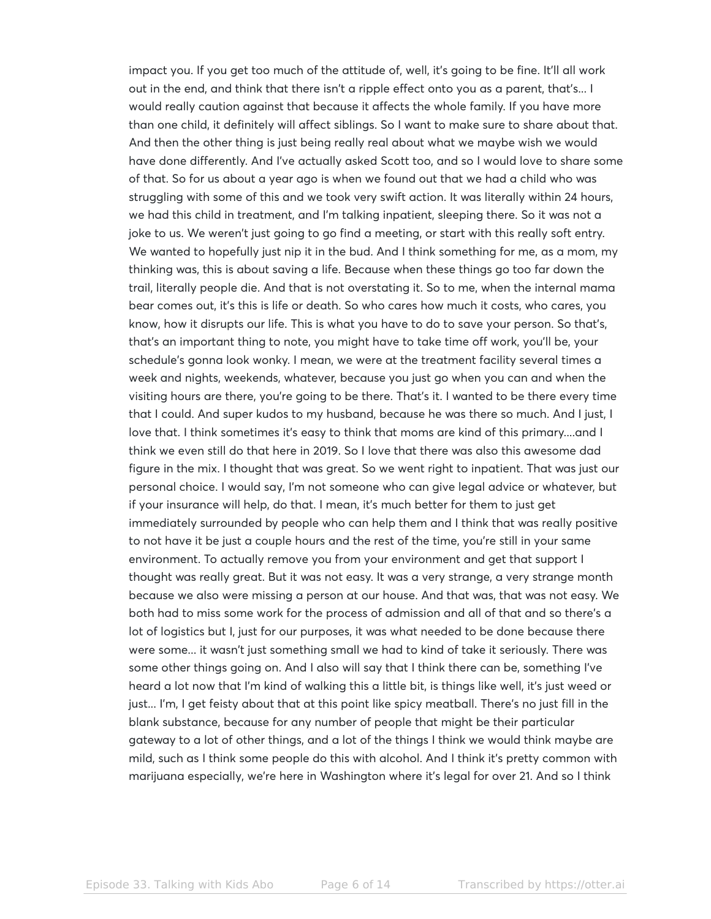impact you. If you get too much of the attitude of, well, it's going to be fine. It'll all work out in the end, and think that there isn't a ripple effect onto you as a parent, that's... I would really caution against that because it affects the whole family. If you have more than one child, it definitely will affect siblings. So I want to make sure to share about that. And then the other thing is just being really real about what we maybe wish we would have done differently. And I've actually asked Scott too, and so I would love to share some of that. So for us about a year ago is when we found out that we had a child who was struggling with some of this and we took very swift action. It was literally within 24 hours, we had this child in treatment, and I'm talking inpatient, sleeping there. So it was not a joke to us. We weren't just going to go find a meeting, or start with this really soft entry. We wanted to hopefully just nip it in the bud. And I think something for me, as a mom, my thinking was, this is about saving a life. Because when these things go too far down the trail, literally people die. And that is not overstating it. So to me, when the internal mama bear comes out, it's this is life or death. So who cares how much it costs, who cares, you know, how it disrupts our life. This is what you have to do to save your person. So that's, that's an important thing to note, you might have to take time off work, you'll be, your schedule's gonna look wonky. I mean, we were at the treatment facility several times a week and nights, weekends, whatever, because you just go when you can and when the visiting hours are there, you're going to be there. That's it. I wanted to be there every time that I could. And super kudos to my husband, because he was there so much. And I just, I love that. I think sometimes it's easy to think that moms are kind of this primary....and I think we even still do that here in 2019. So I love that there was also this awesome dad figure in the mix. I thought that was great. So we went right to inpatient. That was just our personal choice. I would say, I'm not someone who can give legal advice or whatever, but if your insurance will help, do that. I mean, it's much better for them to just get immediately surrounded by people who can help them and I think that was really positive to not have it be just a couple hours and the rest of the time, you're still in your same environment. To actually remove you from your environment and get that support I thought was really great. But it was not easy. It was a very strange, a very strange month because we also were missing a person at our house. And that was, that was not easy. We both had to miss some work for the process of admission and all of that and so there's a lot of logistics but I, just for our purposes, it was what needed to be done because there were some... it wasn't just something small we had to kind of take it seriously. There was some other things going on. And I also will say that I think there can be, something I've heard a lot now that I'm kind of walking this a little bit, is things like well, it's just weed or just... I'm, I get feisty about that at this point like spicy meatball. There's no just fill in the blank substance, because for any number of people that might be their particular gateway to a lot of other things, and a lot of the things I think we would think maybe are mild, such as I think some people do this with alcohol. And I think it's pretty common with marijuana especially, we're here in Washington where it's legal for over 21. And so I think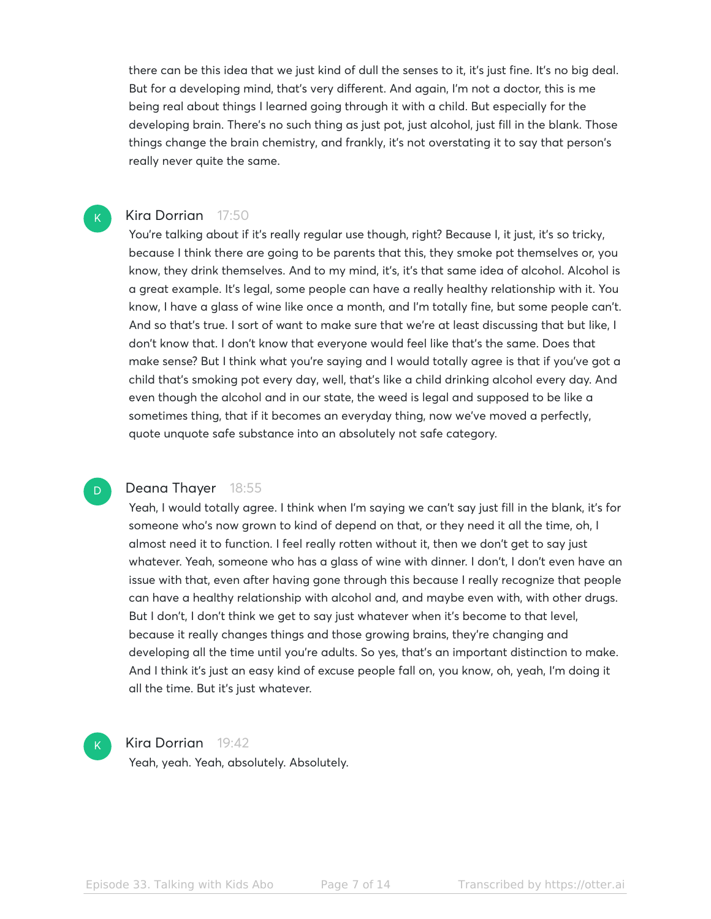there can be this idea that we just kind of dull the senses to it, it's just fine. It's no big deal. But for a developing mind, that's very different. And again, I'm not a doctor, this is me being real about things I learned going through it with a child. But especially for the developing brain. There's no such thing as just pot, just alcohol, just fill in the blank. Those things change the brain chemistry, and frankly, it's not overstating it to say that person's really never quite the same.

#### Kira Dorrian 17:50

K

You're talking about if it's really regular use though, right? Because I, it just, it's so tricky, because I think there are going to be parents that this, they smoke pot themselves or, you know, they drink themselves. And to my mind, it's, it's that same idea of alcohol. Alcohol is a great example. It's legal, some people can have a really healthy relationship with it. You know, I have a glass of wine like once a month, and I'm totally fine, but some people can't. And so that's true. I sort of want to make sure that we're at least discussing that but like, I don't know that. I don't know that everyone would feel like that's the same. Does that make sense? But I think what you're saying and I would totally agree is that if you've got a child that's smoking pot every day, well, that's like a child drinking alcohol every day. And even though the alcohol and in our state, the weed is legal and supposed to be like a sometimes thing, that if it becomes an everyday thing, now we've moved a perfectly, quote unquote safe substance into an absolutely not safe category.

## Deana Thayer 18:55

Yeah, I would totally agree. I think when I'm saying we can't say just fill in the blank, it's for someone who's now grown to kind of depend on that, or they need it all the time, oh, I almost need it to function. I feel really rotten without it, then we don't get to say just whatever. Yeah, someone who has a glass of wine with dinner. I don't, I don't even have an issue with that, even after having gone through this because I really recognize that people can have a healthy relationship with alcohol and, and maybe even with, with other drugs. But I don't, I don't think we get to say just whatever when it's become to that level, because it really changes things and those growing brains, they're changing and developing all the time until you're adults. So yes, that's an important distinction to make. And I think it's just an easy kind of excuse people fall on, you know, oh, yeah, I'm doing it all the time. But it's just whatever.

# $\mathsf{K}_{\scriptscriptstyle{+}}$

D

### Kira Dorrian 19:42

Yeah, yeah. Yeah, absolutely. Absolutely.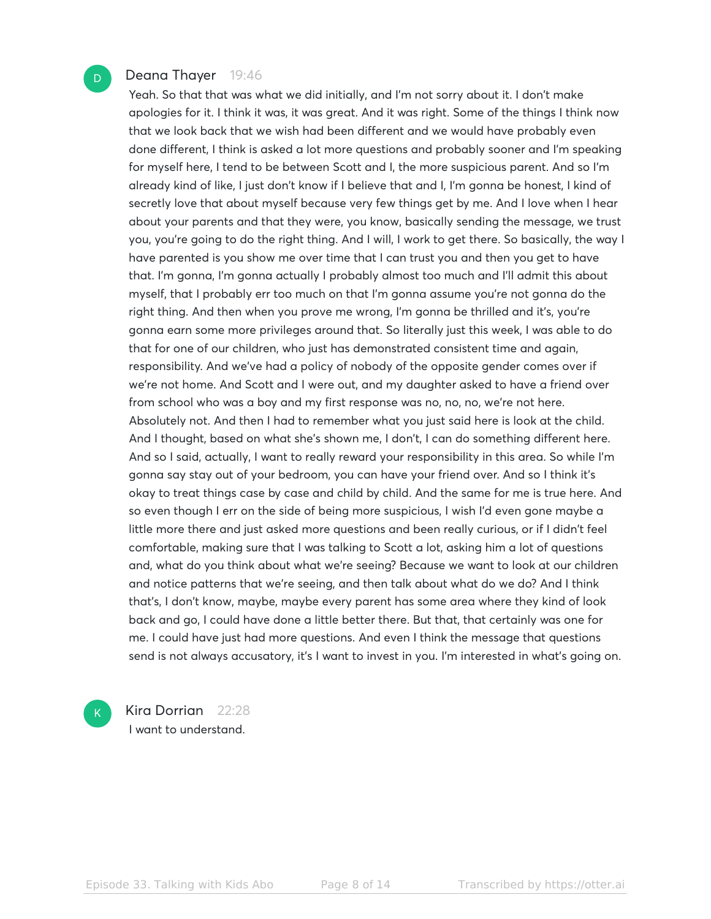#### Deana Thayer 19:46

D

Yeah. So that that was what we did initially, and I'm not sorry about it. I don't make apologies for it. I think it was, it was great. And it was right. Some of the things I think now that we look back that we wish had been different and we would have probably even done different, I think is asked a lot more questions and probably sooner and I'm speaking for myself here, I tend to be between Scott and I, the more suspicious parent. And so I'm already kind of like, I just don't know if I believe that and I, I'm gonna be honest, I kind of secretly love that about myself because very few things get by me. And I love when I hear about your parents and that they were, you know, basically sending the message, we trust you, you're going to do the right thing. And I will, I work to get there. So basically, the way I have parented is you show me over time that I can trust you and then you get to have that. I'm gonna, I'm gonna actually I probably almost too much and I'll admit this about myself, that I probably err too much on that I'm gonna assume you're not gonna do the right thing. And then when you prove me wrong, I'm gonna be thrilled and it's, you're gonna earn some more privileges around that. So literally just this week, I was able to do that for one of our children, who just has demonstrated consistent time and again, responsibility. And we've had a policy of nobody of the opposite gender comes over if we're not home. And Scott and I were out, and my daughter asked to have a friend over from school who was a boy and my first response was no, no, no, we're not here. Absolutely not. And then I had to remember what you just said here is look at the child. And I thought, based on what she's shown me, I don't, I can do something different here. And so I said, actually, I want to really reward your responsibility in this area. So while I'm gonna say stay out of your bedroom, you can have your friend over. And so I think it's okay to treat things case by case and child by child. And the same for me is true here. And so even though I err on the side of being more suspicious, I wish I'd even gone maybe a little more there and just asked more questions and been really curious, or if I didn't feel comfortable, making sure that I was talking to Scott a lot, asking him a lot of questions and, what do you think about what we're seeing? Because we want to look at our children and notice patterns that we're seeing, and then talk about what do we do? And I think that's, I don't know, maybe, maybe every parent has some area where they kind of look back and go, I could have done a little better there. But that, that certainly was one for me. I could have just had more questions. And even I think the message that questions send is not always accusatory, it's I want to invest in you. I'm interested in what's going on.

Kira Dorrian 22:28 I want to understand.

 $\mathsf{K}_{\scriptscriptstyle{+}}$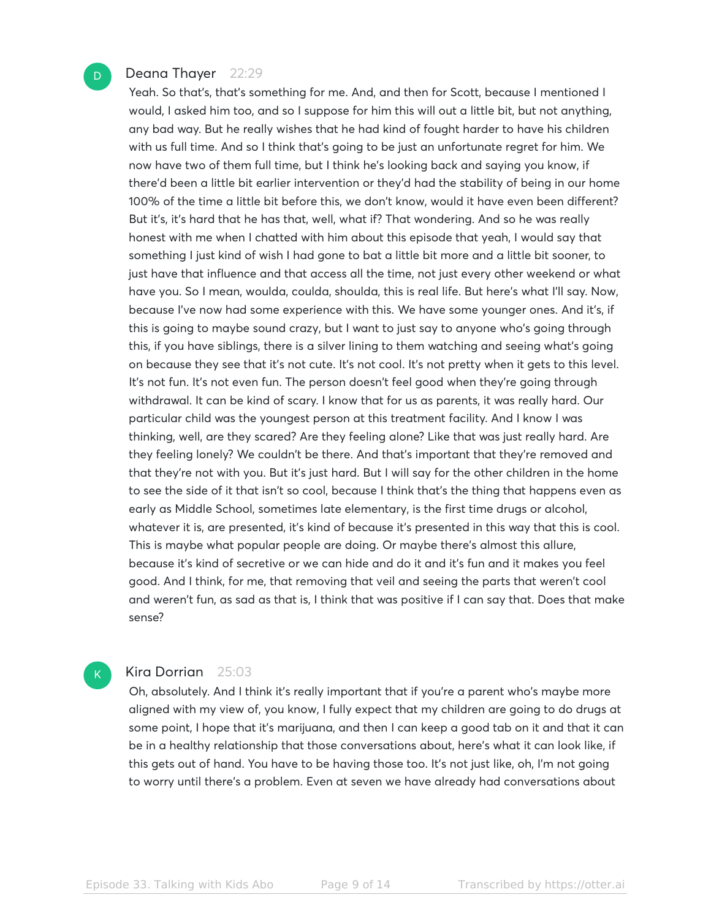#### Deana Thayer 22:29

Yeah. So that's, that's something for me. And, and then for Scott, because I mentioned I would, I asked him too, and so I suppose for him this will out a little bit, but not anything, any bad way. But he really wishes that he had kind of fought harder to have his children with us full time. And so I think that's going to be just an unfortunate regret for him. We now have two of them full time, but I think he's looking back and saying you know, if there'd been a little bit earlier intervention or they'd had the stability of being in our home 100% of the time a little bit before this, we don't know, would it have even been different? But it's, it's hard that he has that, well, what if? That wondering. And so he was really honest with me when I chatted with him about this episode that yeah, I would say that something I just kind of wish I had gone to bat a little bit more and a little bit sooner, to just have that influence and that access all the time, not just every other weekend or what have you. So I mean, woulda, coulda, shoulda, this is real life. But here's what I'll say. Now, because I've now had some experience with this. We have some younger ones. And it's, if this is going to maybe sound crazy, but I want to just say to anyone who's going through this, if you have siblings, there is a silver lining to them watching and seeing what's going on because they see that it's not cute. It's not cool. It's not pretty when it gets to this level. It's not fun. It's not even fun. The person doesn't feel good when they're going through withdrawal. It can be kind of scary. I know that for us as parents, it was really hard. Our particular child was the youngest person at this treatment facility. And I know I was thinking, well, are they scared? Are they feeling alone? Like that was just really hard. Are they feeling lonely? We couldn't be there. And that's important that they're removed and that they're not with you. But it's just hard. But I will say for the other children in the home to see the side of it that isn't so cool, because I think that's the thing that happens even as early as Middle School, sometimes late elementary, is the first time drugs or alcohol, whatever it is, are presented, it's kind of because it's presented in this way that this is cool. This is maybe what popular people are doing. Or maybe there's almost this allure, because it's kind of secretive or we can hide and do it and it's fun and it makes you feel good. And I think, for me, that removing that veil and seeing the parts that weren't cool and weren't fun, as sad as that is, I think that was positive if I can say that. Does that make sense?

# Kira Dorrian 25:03

 $\mathsf{K}_{\scriptscriptstyle{+}}$ 

Oh, absolutely. And I think it's really important that if you're a parent who's maybe more aligned with my view of, you know, I fully expect that my children are going to do drugs at some point, I hope that it's marijuana, and then I can keep a good tab on it and that it can be in a healthy relationship that those conversations about, here's what it can look like, if this gets out of hand. You have to be having those too. It's not just like, oh, I'm not going to worry until there's a problem. Even at seven we have already had conversations about

Episode 33. Talking with Kids Abo Page 9 of 14 Transcribed by https://otter.ai

D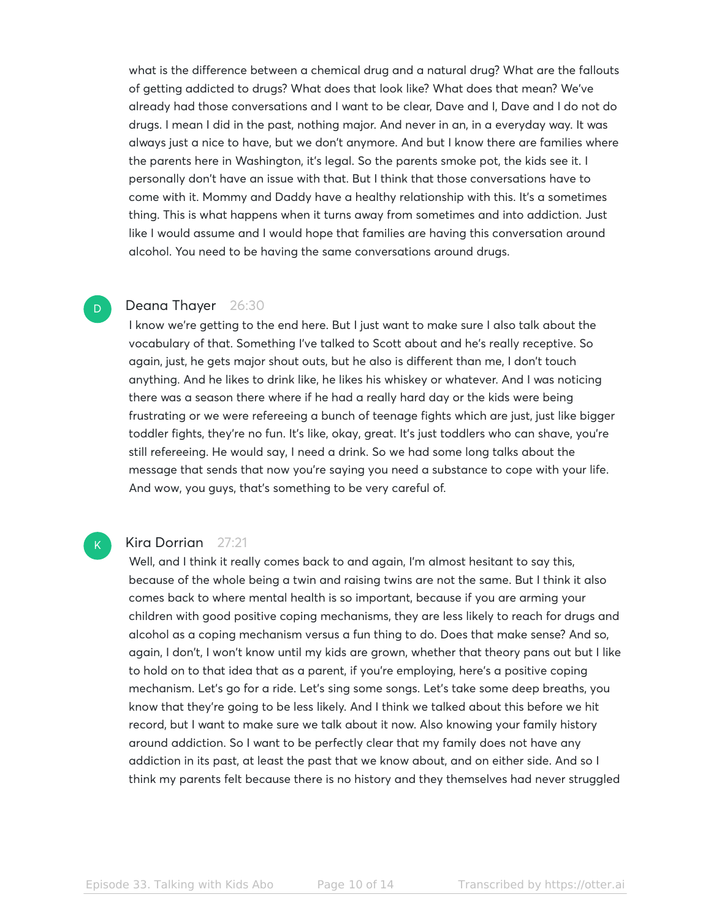what is the difference between a chemical drug and a natural drug? What are the fallouts of getting addicted to drugs? What does that look like? What does that mean? We've already had those conversations and I want to be clear, Dave and I, Dave and I do not do drugs. I mean I did in the past, nothing major. And never in an, in a everyday way. It was always just a nice to have, but we don't anymore. And but I know there are families where the parents here in Washington, it's legal. So the parents smoke pot, the kids see it. I personally don't have an issue with that. But I think that those conversations have to come with it. Mommy and Daddy have a healthy relationship with this. It's a sometimes thing. This is what happens when it turns away from sometimes and into addiction. Just like I would assume and I would hope that families are having this conversation around alcohol. You need to be having the same conversations around drugs.

#### Deana Thayer 26:30

D

K

I know we're getting to the end here. But I just want to make sure I also talk about the vocabulary of that. Something I've talked to Scott about and he's really receptive. So again, just, he gets major shout outs, but he also is different than me, I don't touch anything. And he likes to drink like, he likes his whiskey or whatever. And I was noticing there was a season there where if he had a really hard day or the kids were being frustrating or we were refereeing a bunch of teenage fights which are just, just like bigger toddler fights, they're no fun. It's like, okay, great. It's just toddlers who can shave, you're still refereeing. He would say, I need a drink. So we had some long talks about the message that sends that now you're saying you need a substance to cope with your life. And wow, you guys, that's something to be very careful of.

# Kira Dorrian 27:21

Well, and I think it really comes back to and again, I'm almost hesitant to say this, because of the whole being a twin and raising twins are not the same. But I think it also comes back to where mental health is so important, because if you are arming your children with good positive coping mechanisms, they are less likely to reach for drugs and alcohol as a coping mechanism versus a fun thing to do. Does that make sense? And so, again, I don't, I won't know until my kids are grown, whether that theory pans out but I like to hold on to that idea that as a parent, if you're employing, here's a positive coping mechanism. Let's go for a ride. Let's sing some songs. Let's take some deep breaths, you know that they're going to be less likely. And I think we talked about this before we hit record, but I want to make sure we talk about it now. Also knowing your family history around addiction. So I want to be perfectly clear that my family does not have any addiction in its past, at least the past that we know about, and on either side. And so I think my parents felt because there is no history and they themselves had never struggled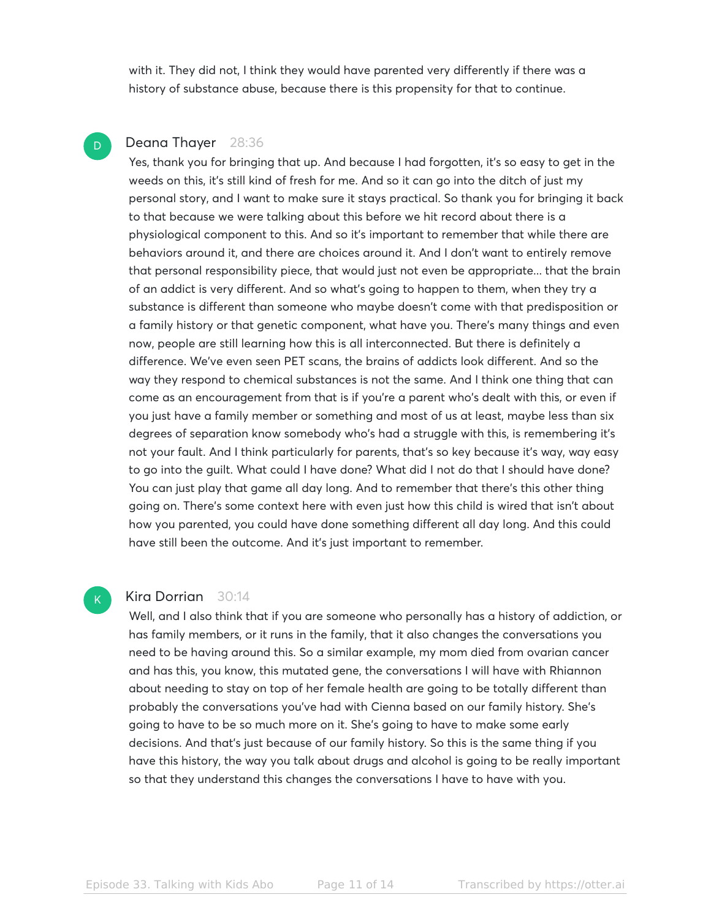with it. They did not, I think they would have parented very differently if there was a history of substance abuse, because there is this propensity for that to continue.

# Deana Thayer 28:36

D

Yes, thank you for bringing that up. And because I had forgotten, it's so easy to get in the weeds on this, it's still kind of fresh for me. And so it can go into the ditch of just my personal story, and I want to make sure it stays practical. So thank you for bringing it back to that because we were talking about this before we hit record about there is a physiological component to this. And so it's important to remember that while there are behaviors around it, and there are choices around it. And I don't want to entirely remove that personal responsibility piece, that would just not even be appropriate... that the brain of an addict is very different. And so what's going to happen to them, when they try a substance is different than someone who maybe doesn't come with that predisposition or a family history or that genetic component, what have you. There's many things and even now, people are still learning how this is all interconnected. But there is definitely a difference. We've even seen PET scans, the brains of addicts look different. And so the way they respond to chemical substances is not the same. And I think one thing that can come as an encouragement from that is if you're a parent who's dealt with this, or even if you just have a family member or something and most of us at least, maybe less than six degrees of separation know somebody who's had a struggle with this, is remembering it's not your fault. And I think particularly for parents, that's so key because it's way, way easy to go into the guilt. What could I have done? What did I not do that I should have done? You can just play that game all day long. And to remember that there's this other thing going on. There's some context here with even just how this child is wired that isn't about how you parented, you could have done something different all day long. And this could have still been the outcome. And it's just important to remember.

#### Kira Dorrian 30:14

Well, and I also think that if you are someone who personally has a history of addiction, or has family members, or it runs in the family, that it also changes the conversations you need to be having around this. So a similar example, my mom died from ovarian cancer and has this, you know, this mutated gene, the conversations I will have with Rhiannon about needing to stay on top of her female health are going to be totally different than probably the conversations you've had with Cienna based on our family history. She's going to have to be so much more on it. She's going to have to make some early decisions. And that's just because of our family history. So this is the same thing if you have this history, the way you talk about drugs and alcohol is going to be really important so that they understand this changes the conversations I have to have with you.

 $\mathsf{K}_{\scriptscriptstyle{+}}$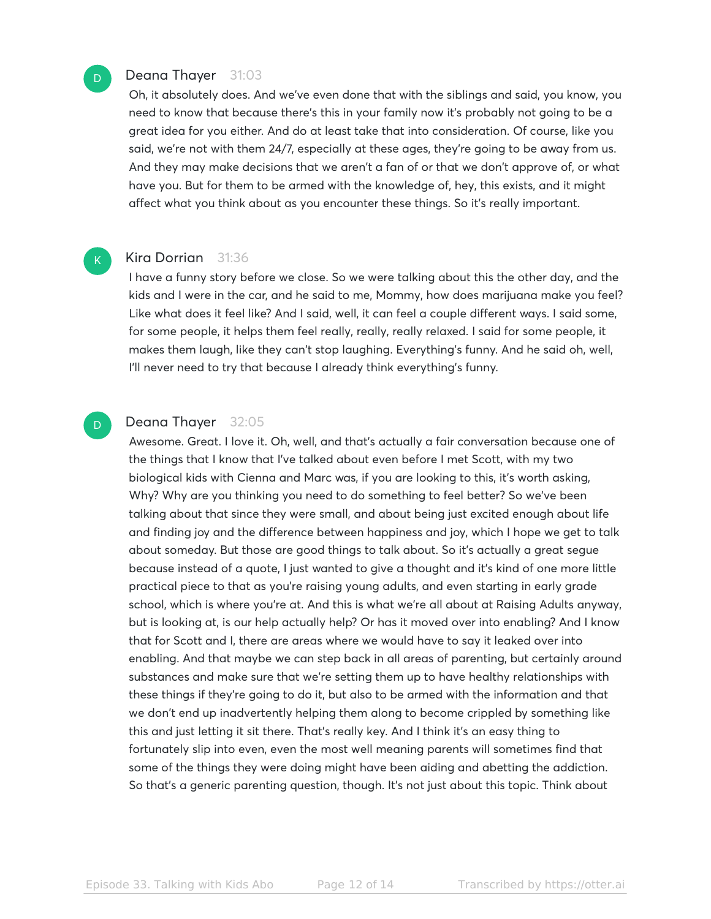## Deana Thayer 31:03

 $\overline{D}$ 

 $\mathsf{K}_{\scriptscriptstyle{+}}$ 

D

Oh, it absolutely does. And we've even done that with the siblings and said, you know, you need to know that because there's this in your family now it's probably not going to be a great idea for you either. And do at least take that into consideration. Of course, like you said, we're not with them 24/7, especially at these ages, they're going to be away from us. And they may make decisions that we aren't a fan of or that we don't approve of, or what have you. But for them to be armed with the knowledge of, hey, this exists, and it might affect what you think about as you encounter these things. So it's really important.

# Kira Dorrian 31:36

I have a funny story before we close. So we were talking about this the other day, and the kids and I were in the car, and he said to me, Mommy, how does marijuana make you feel? Like what does it feel like? And I said, well, it can feel a couple different ways. I said some, for some people, it helps them feel really, really, really relaxed. I said for some people, it makes them laugh, like they can't stop laughing. Everything's funny. And he said oh, well, I'll never need to try that because I already think everything's funny.

#### Deana Thayer 32:05

Awesome. Great. I love it. Oh, well, and that's actually a fair conversation because one of the things that I know that I've talked about even before I met Scott, with my two biological kids with Cienna and Marc was, if you are looking to this, it's worth asking, Why? Why are you thinking you need to do something to feel better? So we've been talking about that since they were small, and about being just excited enough about life and finding joy and the difference between happiness and joy, which I hope we get to talk about someday. But those are good things to talk about. So it's actually a great segue because instead of a quote, I just wanted to give a thought and it's kind of one more little practical piece to that as you're raising young adults, and even starting in early grade school, which is where you're at. And this is what we're all about at Raising Adults anyway, but is looking at, is our help actually help? Or has it moved over into enabling? And I know that for Scott and I, there are areas where we would have to say it leaked over into enabling. And that maybe we can step back in all areas of parenting, but certainly around substances and make sure that we're setting them up to have healthy relationships with these things if they're going to do it, but also to be armed with the information and that we don't end up inadvertently helping them along to become crippled by something like this and just letting it sit there. That's really key. And I think it's an easy thing to fortunately slip into even, even the most well meaning parents will sometimes find that some of the things they were doing might have been aiding and abetting the addiction. So that's a generic parenting question, though. It's not just about this topic. Think about

Episode 33. Talking with Kids Abo Page 12 of 14 Transcribed by https://otter.ai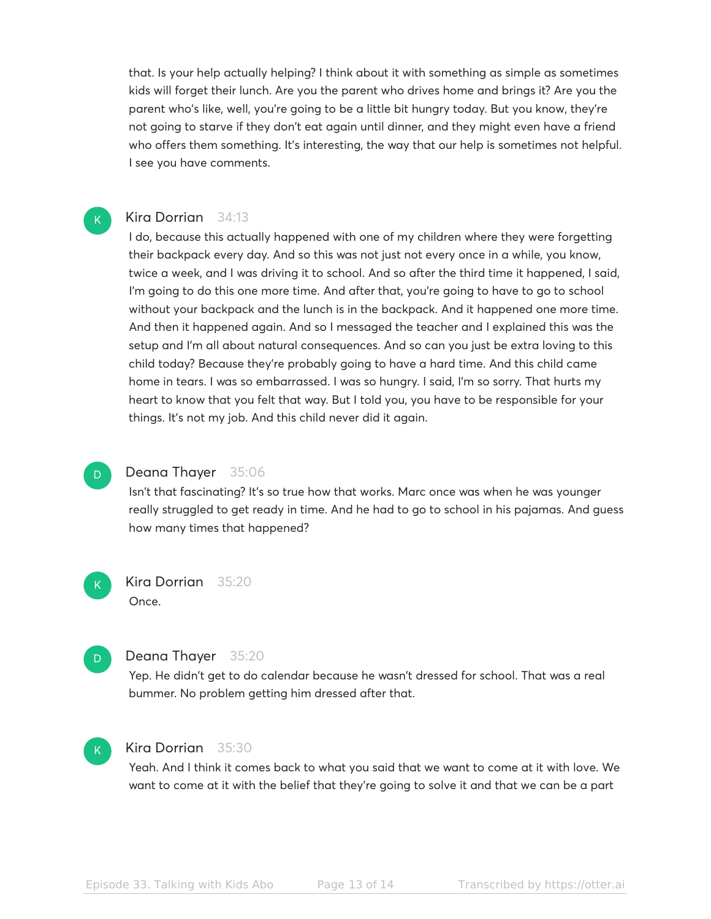that. Is your help actually helping? I think about it with something as simple as sometimes kids will forget their lunch. Are you the parent who drives home and brings it? Are you the parent who's like, well, you're going to be a little bit hungry today. But you know, they're not going to starve if they don't eat again until dinner, and they might even have a friend who offers them something. It's interesting, the way that our help is sometimes not helpful. I see you have comments.

#### Kira Dorrian 34:13

I do, because this actually happened with one of my children where they were forgetting their backpack every day. And so this was not just not every once in a while, you know, twice a week, and I was driving it to school. And so after the third time it happened, I said, I'm going to do this one more time. And after that, you're going to have to go to school without your backpack and the lunch is in the backpack. And it happened one more time. And then it happened again. And so I messaged the teacher and I explained this was the setup and I'm all about natural consequences. And so can you just be extra loving to this child today? Because they're probably going to have a hard time. And this child came home in tears. I was so embarrassed. I was so hungry. I said, I'm so sorry. That hurts my heart to know that you felt that way. But I told you, you have to be responsible for your things. It's not my job. And this child never did it again.



 $\mathsf{K}_{\scriptscriptstyle{+}}$ 

#### Deana Thayer 35:06

Isn't that fascinating? It's so true how that works. Marc once was when he was younger really struggled to get ready in time. And he had to go to school in his pajamas. And guess how many times that happened?

Kira Dorrian 35:20 Once.



 $K$ 

#### Deana Thayer 35:20

Yep. He didn't get to do calendar because he wasn't dressed for school. That was a real bummer. No problem getting him dressed after that.



## Kira Dorrian 35:30

Yeah. And I think it comes back to what you said that we want to come at it with love. We want to come at it with the belief that they're going to solve it and that we can be a part